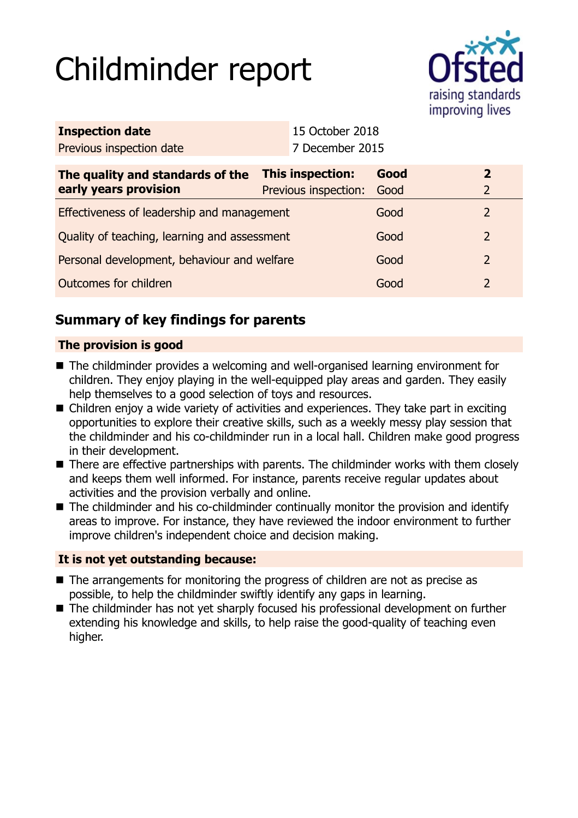# Childminder report



| <b>Inspection date</b>                       |  | 15 October 2018      |      |  |                |
|----------------------------------------------|--|----------------------|------|--|----------------|
| Previous inspection date                     |  | 7 December 2015      |      |  |                |
| The quality and standards of the             |  | This inspection:     | Good |  | $\overline{2}$ |
| early years provision                        |  | Previous inspection: | Good |  | $\overline{2}$ |
| Effectiveness of leadership and management   |  |                      | Good |  | $\overline{2}$ |
| Quality of teaching, learning and assessment |  |                      | Good |  | $\overline{2}$ |
| Personal development, behaviour and welfare  |  |                      | Good |  | $\overline{2}$ |
| Outcomes for children                        |  |                      | Good |  | $\overline{2}$ |
|                                              |  |                      |      |  |                |

# **Summary of key findings for parents**

## **The provision is good**

- The childminder provides a welcoming and well-organised learning environment for children. They enjoy playing in the well-equipped play areas and garden. They easily help themselves to a good selection of toys and resources.
- $\blacksquare$  Children enjoy a wide variety of activities and experiences. They take part in exciting opportunities to explore their creative skills, such as a weekly messy play session that the childminder and his co-childminder run in a local hall. Children make good progress in their development.
- $\blacksquare$  There are effective partnerships with parents. The childminder works with them closely and keeps them well informed. For instance, parents receive regular updates about activities and the provision verbally and online.
- The childminder and his co-childminder continually monitor the provision and identify areas to improve. For instance, they have reviewed the indoor environment to further improve children's independent choice and decision making.

## **It is not yet outstanding because:**

- $\blacksquare$  The arrangements for monitoring the progress of children are not as precise as possible, to help the childminder swiftly identify any gaps in learning.
- $\blacksquare$  The childminder has not yet sharply focused his professional development on further extending his knowledge and skills, to help raise the good-quality of teaching even higher.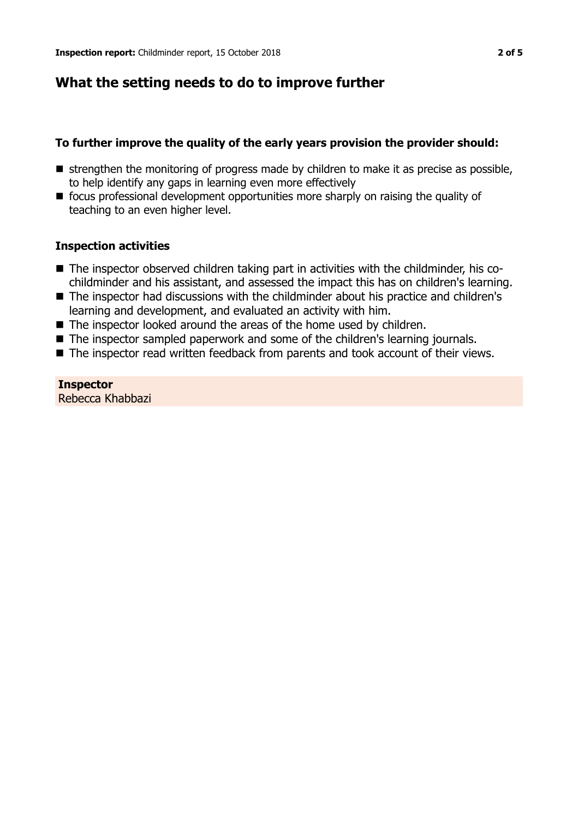# **What the setting needs to do to improve further**

## **To further improve the quality of the early years provision the provider should:**

- $\blacksquare$  strengthen the monitoring of progress made by children to make it as precise as possible, to help identify any gaps in learning even more effectively
- $\blacksquare$  focus professional development opportunities more sharply on raising the quality of teaching to an even higher level.

## **Inspection activities**

- The inspector observed children taking part in activities with the childminder, his cochildminder and his assistant, and assessed the impact this has on children's learning.
- The inspector had discussions with the childminder about his practice and children's learning and development, and evaluated an activity with him.
- $\blacksquare$  The inspector looked around the areas of the home used by children.
- The inspector sampled paperwork and some of the children's learning journals.
- $\blacksquare$  The inspector read written feedback from parents and took account of their views.

# **Inspector**

Rebecca Khabbazi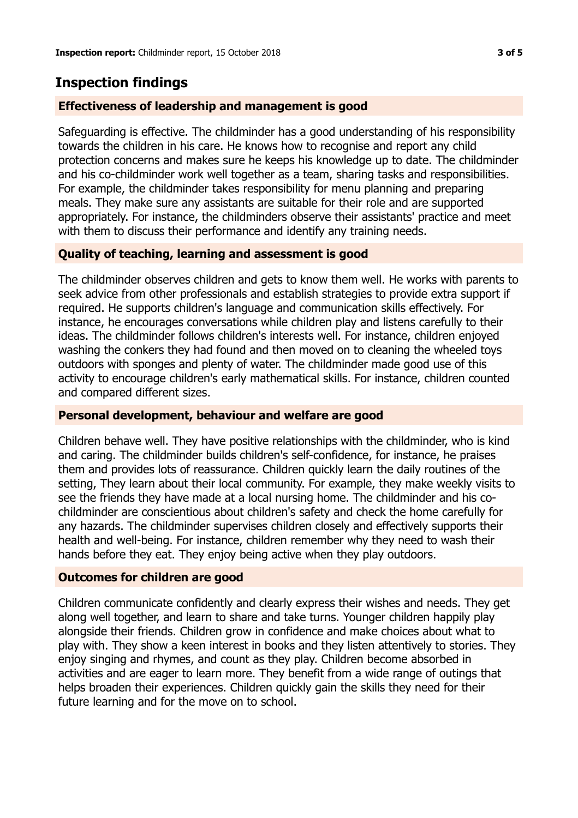# **Inspection findings**

### **Effectiveness of leadership and management is good**

Safeguarding is effective. The childminder has a good understanding of his responsibility towards the children in his care. He knows how to recognise and report any child protection concerns and makes sure he keeps his knowledge up to date. The childminder and his co-childminder work well together as a team, sharing tasks and responsibilities. For example, the childminder takes responsibility for menu planning and preparing meals. They make sure any assistants are suitable for their role and are supported appropriately. For instance, the childminders observe their assistants' practice and meet with them to discuss their performance and identify any training needs.

#### **Quality of teaching, learning and assessment is good**

The childminder observes children and gets to know them well. He works with parents to seek advice from other professionals and establish strategies to provide extra support if required. He supports children's language and communication skills effectively. For instance, he encourages conversations while children play and listens carefully to their ideas. The childminder follows children's interests well. For instance, children enjoyed washing the conkers they had found and then moved on to cleaning the wheeled toys outdoors with sponges and plenty of water. The childminder made good use of this activity to encourage children's early mathematical skills. For instance, children counted and compared different sizes.

#### **Personal development, behaviour and welfare are good**

Children behave well. They have positive relationships with the childminder, who is kind and caring. The childminder builds children's self-confidence, for instance, he praises them and provides lots of reassurance. Children quickly learn the daily routines of the setting, They learn about their local community. For example, they make weekly visits to see the friends they have made at a local nursing home. The childminder and his cochildminder are conscientious about children's safety and check the home carefully for any hazards. The childminder supervises children closely and effectively supports their health and well-being. For instance, children remember why they need to wash their hands before they eat. They enjoy being active when they play outdoors.

### **Outcomes for children are good**

Children communicate confidently and clearly express their wishes and needs. They get along well together, and learn to share and take turns. Younger children happily play alongside their friends. Children grow in confidence and make choices about what to play with. They show a keen interest in books and they listen attentively to stories. They enjoy singing and rhymes, and count as they play. Children become absorbed in activities and are eager to learn more. They benefit from a wide range of outings that helps broaden their experiences. Children quickly gain the skills they need for their future learning and for the move on to school.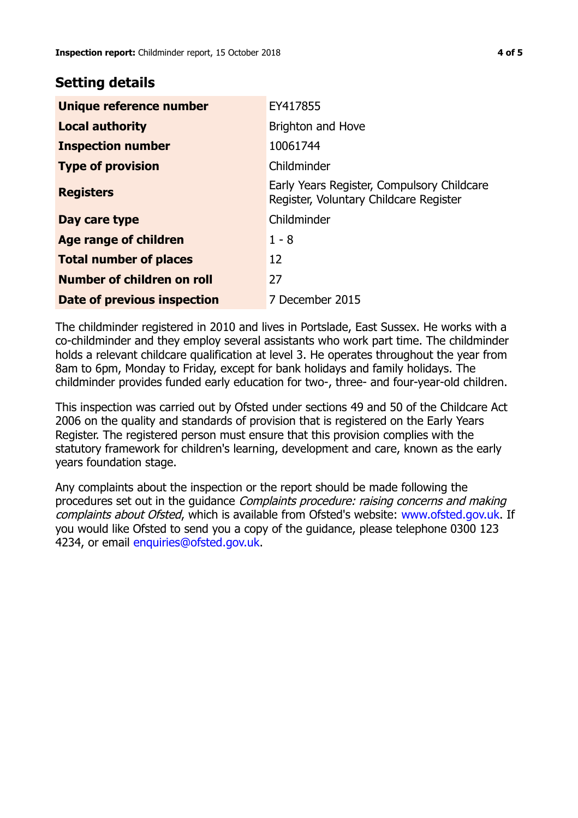# **Setting details**

| Unique reference number       | EY417855                                                                             |  |
|-------------------------------|--------------------------------------------------------------------------------------|--|
| <b>Local authority</b>        | Brighton and Hove                                                                    |  |
| <b>Inspection number</b>      | 10061744                                                                             |  |
| <b>Type of provision</b>      | Childminder                                                                          |  |
| <b>Registers</b>              | Early Years Register, Compulsory Childcare<br>Register, Voluntary Childcare Register |  |
| Day care type                 | Childminder                                                                          |  |
| Age range of children         | $1 - 8$                                                                              |  |
| <b>Total number of places</b> | 12                                                                                   |  |
| Number of children on roll    | 27                                                                                   |  |
| Date of previous inspection   | 7 December 2015                                                                      |  |

The childminder registered in 2010 and lives in Portslade, East Sussex. He works with a co-childminder and they employ several assistants who work part time. The childminder holds a relevant childcare qualification at level 3. He operates throughout the year from 8am to 6pm, Monday to Friday, except for bank holidays and family holidays. The childminder provides funded early education for two-, three- and four-year-old children.

This inspection was carried out by Ofsted under sections 49 and 50 of the Childcare Act 2006 on the quality and standards of provision that is registered on the Early Years Register. The registered person must ensure that this provision complies with the statutory framework for children's learning, development and care, known as the early years foundation stage.

Any complaints about the inspection or the report should be made following the procedures set out in the guidance Complaints procedure: raising concerns and making complaints about Ofsted, which is available from Ofsted's website: www.ofsted.gov.uk. If you would like Ofsted to send you a copy of the guidance, please telephone 0300 123 4234, or email [enquiries@ofsted.gov.uk.](mailto:enquiries@ofsted.gov.uk)